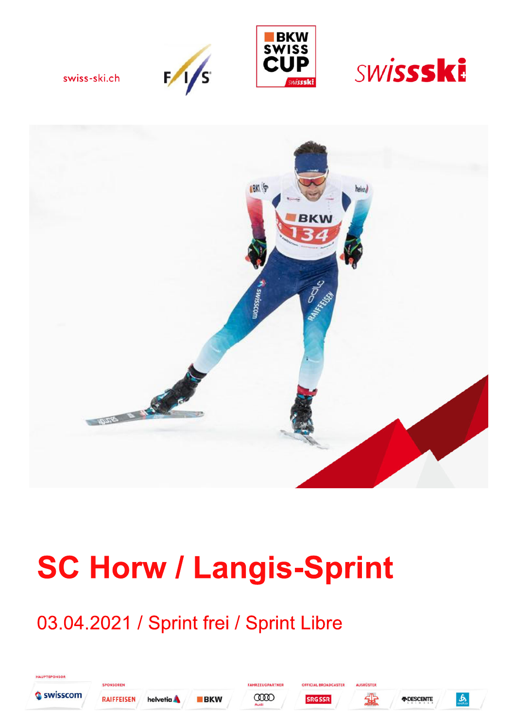





s,

swiss-ski.ch



# **SC Horw / Langis-Sprint**

## 03.04.2021 / Sprint frei / Sprint Libre

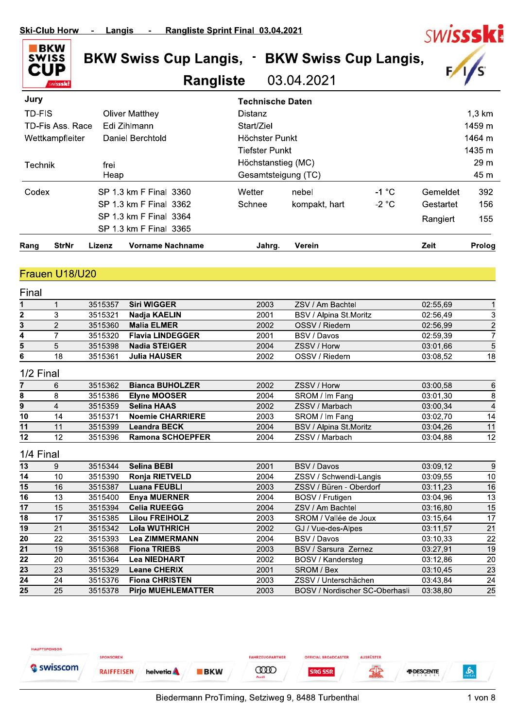

# SW**ISSSKE**

#### **Rangliste** 03.04.2021

| <b>StrNr</b><br>Rang | Lizenz<br><b>Vorname Nachname</b> | Jahrg.                  | Verein              |         | Zeit      | Prolog           |
|----------------------|-----------------------------------|-------------------------|---------------------|---------|-----------|------------------|
|                      | SP 1.3 km F Final 3365            |                         |                     |         |           |                  |
|                      | SP 1.3 km F Final 3364            |                         |                     |         | Rangiert  | 155              |
|                      | SP 1.3 km F Final 3362            | Schnee                  | kompakt, hart       | $-2 °C$ | Gestartet | 156              |
| Codex                | SP 1.3 km F Final 3360            | Wetter                  | nebel               | $-1$ °C | Gemeldet  | 392              |
|                      | Heap                              |                         | Gesamtsteigung (TC) |         |           |                  |
| Technik              | frei                              |                         | Höchstanstieg (MC)  |         |           |                  |
|                      |                                   | <b>Tiefster Punkt</b>   |                     |         |           | 1435 m           |
| Wettkampfleiter      | Daniel Berchtold                  | Höchster Punkt          |                     |         |           | 1464 m           |
| TD-Fis Ass, Race     | Edi Zihlmann                      |                         |                     |         |           | 1459 m           |
| <b>TD-FIS</b>        | <b>Oliver Matthey</b>             | Distanz                 |                     |         |           | $1,3 \text{ km}$ |
| Jury                 |                                   | <b>Technische Daten</b> |                     |         |           |                  |

#### Frauen U18/U20

| 3515357<br><b>Siri WIGGER</b><br>2003<br>1<br>2<br>3<br>3515321<br>Nadja KAELIN<br>2001<br>3<br>$\overline{2}$<br>3515360<br><b>Malia ELMER</b><br>2002<br>4<br><b>Flavia LINDEGGER</b><br>7<br>3515320<br>2001<br>5<br><b>Nadia STEIGER</b><br>5<br>3515398<br>2004<br>6<br><b>Julia HAUSER</b><br>18<br>3515361<br>2002<br>1/2 Final<br><b>Bianca BUHOLZER</b><br>3515362<br>2002<br>7<br>6<br>8<br>8<br>3515386<br><b>Elyne MOOSER</b><br>2004<br>9<br><b>Selina HAAS</b><br>4<br>3515359<br>2002<br>10<br><b>Noemie CHARRIERE</b><br>14<br>3515371<br>2003<br>11<br><b>Leandra BECK</b><br>3515399<br>11<br>2004<br>12<br>12<br><b>Ramona SCHOEPFER</b><br>3515396<br>2004<br>1/4 Final<br><b>Selina BEBI</b><br>13<br>3515344<br>2001<br>9<br>14<br>3515390<br>10<br>Ronja RIETVELD<br>2004<br>15<br>16<br><b>Luana FEUBLI</b><br>3515387<br>2003<br>16<br><b>Enya MUERNER</b><br>13<br>3515400<br>2004<br>$\overline{17}$<br><b>Celia RUEEGG</b><br>15<br>3515394<br>2004<br>18<br>17<br><b>Lilou FREIHOLZ</b><br>3515385<br>2003<br>19<br>21<br><b>Lola WUTHRICH</b><br>3515342<br>2002<br>$\overline{20}$<br>22<br>3515393<br><b>Lea ZIMMERMANN</b><br>2004<br>21<br><b>Fiona TRIEBS</b><br>19<br>3515368<br>2003<br>22<br>20<br>3515364<br><b>Lea NIEDHART</b><br>2002 | Final |               |                           |      |                                |          |                 |
|---------------------------------------------------------------------------------------------------------------------------------------------------------------------------------------------------------------------------------------------------------------------------------------------------------------------------------------------------------------------------------------------------------------------------------------------------------------------------------------------------------------------------------------------------------------------------------------------------------------------------------------------------------------------------------------------------------------------------------------------------------------------------------------------------------------------------------------------------------------------------------------------------------------------------------------------------------------------------------------------------------------------------------------------------------------------------------------------------------------------------------------------------------------------------------------------------------------------------------------------------------------------------------|-------|---------------|---------------------------|------|--------------------------------|----------|-----------------|
|                                                                                                                                                                                                                                                                                                                                                                                                                                                                                                                                                                                                                                                                                                                                                                                                                                                                                                                                                                                                                                                                                                                                                                                                                                                                                 |       |               |                           |      | ZSV / Am Bachtel               | 02:55,69 |                 |
|                                                                                                                                                                                                                                                                                                                                                                                                                                                                                                                                                                                                                                                                                                                                                                                                                                                                                                                                                                                                                                                                                                                                                                                                                                                                                 |       |               |                           |      | BSV / Alpina St.Moritz         | 02:56,49 | 3               |
|                                                                                                                                                                                                                                                                                                                                                                                                                                                                                                                                                                                                                                                                                                                                                                                                                                                                                                                                                                                                                                                                                                                                                                                                                                                                                 |       |               |                           |      | OSSV / Riedern                 | 02:56.99 | $\overline{c}$  |
|                                                                                                                                                                                                                                                                                                                                                                                                                                                                                                                                                                                                                                                                                                                                                                                                                                                                                                                                                                                                                                                                                                                                                                                                                                                                                 |       |               |                           |      | BSV / Davos                    | 02:59,39 | 7               |
|                                                                                                                                                                                                                                                                                                                                                                                                                                                                                                                                                                                                                                                                                                                                                                                                                                                                                                                                                                                                                                                                                                                                                                                                                                                                                 |       |               |                           |      | ZSSV / Horw                    | 03:01,66 | $\overline{5}$  |
|                                                                                                                                                                                                                                                                                                                                                                                                                                                                                                                                                                                                                                                                                                                                                                                                                                                                                                                                                                                                                                                                                                                                                                                                                                                                                 |       |               |                           |      | OSSV / Riedern                 | 03:08,52 | $\overline{18}$ |
|                                                                                                                                                                                                                                                                                                                                                                                                                                                                                                                                                                                                                                                                                                                                                                                                                                                                                                                                                                                                                                                                                                                                                                                                                                                                                 |       |               |                           |      |                                |          |                 |
|                                                                                                                                                                                                                                                                                                                                                                                                                                                                                                                                                                                                                                                                                                                                                                                                                                                                                                                                                                                                                                                                                                                                                                                                                                                                                 |       |               |                           |      | ZSSV / Horw                    | 03:00,58 | 6               |
|                                                                                                                                                                                                                                                                                                                                                                                                                                                                                                                                                                                                                                                                                                                                                                                                                                                                                                                                                                                                                                                                                                                                                                                                                                                                                 |       |               |                           |      | SROM / Im Fang                 | 03:01,30 | 8               |
|                                                                                                                                                                                                                                                                                                                                                                                                                                                                                                                                                                                                                                                                                                                                                                                                                                                                                                                                                                                                                                                                                                                                                                                                                                                                                 |       |               |                           |      | ZSSV / Marbach                 | 03:00.34 | $\overline{a}$  |
|                                                                                                                                                                                                                                                                                                                                                                                                                                                                                                                                                                                                                                                                                                                                                                                                                                                                                                                                                                                                                                                                                                                                                                                                                                                                                 |       |               |                           |      | SROM / Im Fang                 | 03:02,70 | 14              |
|                                                                                                                                                                                                                                                                                                                                                                                                                                                                                                                                                                                                                                                                                                                                                                                                                                                                                                                                                                                                                                                                                                                                                                                                                                                                                 |       |               |                           |      | BSV / Alpina St.Moritz         | 03:04.26 | 11              |
|                                                                                                                                                                                                                                                                                                                                                                                                                                                                                                                                                                                                                                                                                                                                                                                                                                                                                                                                                                                                                                                                                                                                                                                                                                                                                 |       |               |                           |      | ZSSV / Marbach                 | 03:04,88 | 12              |
|                                                                                                                                                                                                                                                                                                                                                                                                                                                                                                                                                                                                                                                                                                                                                                                                                                                                                                                                                                                                                                                                                                                                                                                                                                                                                 |       |               |                           |      |                                |          |                 |
|                                                                                                                                                                                                                                                                                                                                                                                                                                                                                                                                                                                                                                                                                                                                                                                                                                                                                                                                                                                                                                                                                                                                                                                                                                                                                 |       |               |                           |      | BSV / Davos                    | 03:09,12 | 9               |
|                                                                                                                                                                                                                                                                                                                                                                                                                                                                                                                                                                                                                                                                                                                                                                                                                                                                                                                                                                                                                                                                                                                                                                                                                                                                                 |       |               |                           |      | ZSSV / Schwendi-Langis         | 03:09,55 | $\overline{10}$ |
|                                                                                                                                                                                                                                                                                                                                                                                                                                                                                                                                                                                                                                                                                                                                                                                                                                                                                                                                                                                                                                                                                                                                                                                                                                                                                 |       |               |                           |      | ZSSV / Büren - Oberdorf        | 03:11,23 | $\overline{16}$ |
|                                                                                                                                                                                                                                                                                                                                                                                                                                                                                                                                                                                                                                                                                                                                                                                                                                                                                                                                                                                                                                                                                                                                                                                                                                                                                 |       |               |                           |      | BOSV / Frutigen                | 03:04,96 | $\overline{13}$ |
|                                                                                                                                                                                                                                                                                                                                                                                                                                                                                                                                                                                                                                                                                                                                                                                                                                                                                                                                                                                                                                                                                                                                                                                                                                                                                 |       |               |                           |      | ZSV / Am Bachtel               | 03:16,80 | $\overline{15}$ |
|                                                                                                                                                                                                                                                                                                                                                                                                                                                                                                                                                                                                                                                                                                                                                                                                                                                                                                                                                                                                                                                                                                                                                                                                                                                                                 |       |               |                           |      | SROM / Vallée de Joux          | 03:15,64 | $\overline{17}$ |
|                                                                                                                                                                                                                                                                                                                                                                                                                                                                                                                                                                                                                                                                                                                                                                                                                                                                                                                                                                                                                                                                                                                                                                                                                                                                                 |       |               |                           |      | GJ / Vue-des-Alpes             | 03:11,57 | $\overline{21}$ |
|                                                                                                                                                                                                                                                                                                                                                                                                                                                                                                                                                                                                                                                                                                                                                                                                                                                                                                                                                                                                                                                                                                                                                                                                                                                                                 |       |               |                           |      | BSV / Davos                    | 03:10,33 | $\overline{22}$ |
|                                                                                                                                                                                                                                                                                                                                                                                                                                                                                                                                                                                                                                                                                                                                                                                                                                                                                                                                                                                                                                                                                                                                                                                                                                                                                 |       |               |                           |      | BSV / Sarsura Zernez           | 03:27,91 | $\overline{19}$ |
|                                                                                                                                                                                                                                                                                                                                                                                                                                                                                                                                                                                                                                                                                                                                                                                                                                                                                                                                                                                                                                                                                                                                                                                                                                                                                 |       |               |                           |      | BOSV / Kandersteg              | 03:12,86 | 20              |
| 23<br><b>Leane CHERIX</b><br>23<br>3515329                                                                                                                                                                                                                                                                                                                                                                                                                                                                                                                                                                                                                                                                                                                                                                                                                                                                                                                                                                                                                                                                                                                                                                                                                                      |       |               |                           | 2001 | SROM / Bex                     | 03:10,45 | $\overline{23}$ |
| 24<br><b>Fiona CHRISTEN</b><br>24<br>3515376<br>2003                                                                                                                                                                                                                                                                                                                                                                                                                                                                                                                                                                                                                                                                                                                                                                                                                                                                                                                                                                                                                                                                                                                                                                                                                            |       |               |                           |      | ZSSV / Unterschächen           | 03:43,84 | 24              |
| 25                                                                                                                                                                                                                                                                                                                                                                                                                                                                                                                                                                                                                                                                                                                                                                                                                                                                                                                                                                                                                                                                                                                                                                                                                                                                              |       | 25<br>3515378 | <b>Pirjo MUEHLEMATTER</b> | 2003 | BOSV / Nordischer SC-Oberhasli | 03:38,80 | $\overline{25}$ |

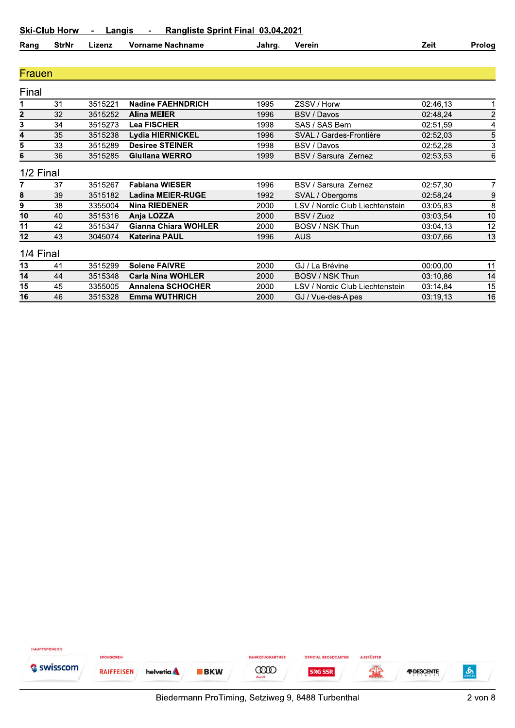| Rang | StrNr | .izenz | Nachname<br>Vorname | Jahro. | Verein | ∠eıt | Proloa<br>- |
|------|-------|--------|---------------------|--------|--------|------|-------------|
|------|-------|--------|---------------------|--------|--------|------|-------------|

#### Frauen

| Final           |                |          |                             |      |                                 |          |                |
|-----------------|----------------|----------|-----------------------------|------|---------------------------------|----------|----------------|
| 1               | 3 <sup>1</sup> | 3515221  | <b>Nadine FAEHNDRICH</b>    | 1995 | ZSSV / Horw                     | 02:46.13 |                |
| $\mathbf{2}$    | 32             | 3515252  | <b>Alina MEIER</b>          | 1996 | BSV / Davos                     | 02:48,24 | $\overline{2}$ |
| $3\phantom{.0}$ | 34             | 3515273  | <b>Lea FISCHER</b>          | 1998 | SAS / SAS Bern                  | 02:51,59 | 4              |
| 4               | 35             | 3515238  | <b>Lydia HIERNICKEL</b>     | 1996 | SVAL / Gardes-Frontière         | 02:52.03 | 5              |
| 5               | 33             | 3515289  | <b>Desiree STEINER</b>      | 1998 | BSV / Davos                     | 02:52,28 | 3              |
| 6               | 36             | 3515285  | Giuliana WERRO              | 1999 | <b>BSV / Sarsura Zernez</b>     | 02:53.53 | 6              |
|                 | 1/2 Final      |          |                             |      |                                 |          |                |
|                 | 37             | 3515267  | <b>Fabiana WIESER</b>       | 1996 | BSV / Sarsura Zernez            | 02:57,30 |                |
| 8               | 39             | 3515182  | <b>Ladina MEIER-RUGE</b>    | 1992 | SVAL / Obergoms                 | 02:58,24 | 9              |
| 9               | 38             | 3355004  | <b>Nina RIEDENER</b>        | 2000 | LSV / Nordic Club Liechtenstein | 03:05,83 | 8              |
| 10              | 40             | 3515316  | Anja LOZZA                  | 2000 | BSV / Zuoz                      | 03:03.54 | 10             |
| 11              | 42             | 3515347  | <b>Gianna Chiara WOHLER</b> | 2000 | BOSV / NSK Thun                 | 03:04.13 | 12             |
| 12              | 43             | 3045074  | <b>Katerina PAUL</b>        | 1996 | AUS                             | 03:07.66 | 13             |
| 1/4 Final       |                |          |                             |      |                                 |          |                |
| $\overline{a}$  | $\overline{A}$ | 0.515000 | <b>CAN/DE</b><br>0.1.1      | nnnn | $\bigcap$ if it is independent. | 00.00.00 | $\overline{A}$ |

|    |    | 3515299 | <b>Solene FAIVRE</b>     | 2000 | GJ / La Brévine                 | 00:00.00 |    |
|----|----|---------|--------------------------|------|---------------------------------|----------|----|
| 14 | 44 | 3515348 | <b>Carla Nina WOHLER</b> | 2000 | BOSV / NSK Thun                 | 03:10.86 | 14 |
| 15 | 45 | 3355005 | <b>Annalena SCHOCHER</b> | 2000 | LSV / Nordic Club Liechtenstein | 03:14.84 | 15 |
| 16 | 46 | 3515328 | Emma WUTHRICH            | 2000 | GJ / Vue-des-Alpes              | 03:19.13 | 16 |

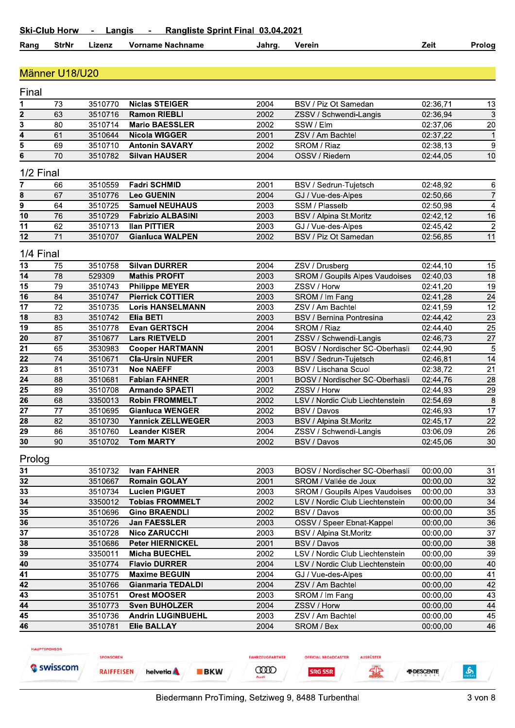#### **StrNr Vorname Nachname** Zeit Rang Lizenz Jahrg. Verein Prolog

#### Männer U18/U20

| Final                     |           |         |                          |      |                                 |          |                          |
|---------------------------|-----------|---------|--------------------------|------|---------------------------------|----------|--------------------------|
| 1                         | 73        | 3510770 | <b>Niclas STEIGER</b>    | 2004 | BSV / Piz Ot Samedan            | 02:36,71 | 13                       |
| $\overline{\mathbf{2}}$   | 63        | 3510716 | <b>Ramon RIEBLI</b>      | 2002 | ZSSV / Schwendi-Langis          | 02:36,94 | 3                        |
| $\overline{\overline{3}}$ | 80        | 3510714 | <b>Mario BAESSLER</b>    | 2002 | SSW / Elm                       | 02:37,06 | 20                       |
| 4                         | 61        | 3510644 | <b>Nicola WIGGER</b>     | 2001 | ZSV / Am Bachtel                | 02:37,22 | $\mathbf{1}$             |
| $\overline{5}$            | 69        | 3510710 | <b>Antonin SAVARY</b>    | 2002 | SROM / Riaz                     | 02:38,13 | 9                        |
| $\bf 6$                   | 70        | 3510782 | <b>Silvan HAUSER</b>     | 2004 | OSSV / Riedern                  | 02:44,05 | 10                       |
|                           | 1/2 Final |         |                          |      |                                 |          |                          |
| 7                         | 66        | 3510559 | <b>Fadri SCHMID</b>      | 2001 | BSV / Sedrun-Tujetsch           | 02:48,92 | 6                        |
| 8                         | 67        | 3510776 | <b>Leo GUENIN</b>        | 2004 | GJ / Vue-des-Alpes              | 02:50,66 | $\overline{7}$           |
| $\overline{9}$            | 64        | 3510725 | <b>Samuel NEUHAUS</b>    | 2003 | SSM / Plasselb                  | 02:50,98 | $\overline{\mathcal{A}}$ |
| 10                        | 76        | 3510729 | <b>Fabrizio ALBASINI</b> | 2003 | BSV / Alpina St.Moritz          | 02:42,12 | 16                       |
| 11                        | 62        | 3510713 | <b>Ilan PITTIER</b>      | 2003 | GJ / Vue-des-Alpes              | 02:45,42 | $\overline{c}$           |
| 12                        | 71        | 3510707 | <b>Gianluca WALPEN</b>   | 2002 | BSV / Piz Ot Samedan            | 02:56,85 | 11                       |
|                           | 1/4 Final |         |                          |      |                                 |          |                          |
| 13                        | 75        | 3510758 | <b>Silvan DURRER</b>     | 2004 | ZSV / Drusberg                  | 02:44,10 | 15                       |
| 14                        | 78        | 529309  | <b>Mathis PROFIT</b>     | 2003 | SROM / Goupils Alpes Vaudoises  | 02:40,03 | 18                       |
| 15                        | 79        | 3510743 | <b>Philippe MEYER</b>    | 2003 | ZSSV / Horw                     | 02:41,20 | 19                       |
| $\overline{16}$           | 84        | 3510747 | <b>Pierrick COTTIER</b>  | 2003 | SROM / Im Fang                  | 02:41,28 | 24                       |
| 17                        | 72        | 3510735 | <b>Loris HANSELMANN</b>  | 2003 | ZSV / Am Bachtel                | 02:41,59 | 12                       |
| $\overline{18}$           | 83        | 3510742 | Elia BETI                | 2003 | <b>BSV / Bernina Pontresina</b> | 02:44,42 | 23                       |
| 19                        | 85        | 3510778 | <b>Evan GERTSCH</b>      | 2004 | SROM / Riaz                     | 02:44,40 | 25                       |
| 20                        | 87        | 3510677 | <b>Lars RIETVELD</b>     | 2001 | ZSSV / Schwendi-Langis          | 02:46,73 | $\overline{27}$          |
| 21                        | 65        | 3530983 | <b>Cooper HARTMANN</b>   | 2001 | BOSV / Nordischer SC-Oberhasli  | 02:44,90 | 5                        |
| $\overline{22}$           | 74        | 3510671 | <b>Cla-Ursin NUFER</b>   | 2001 | BSV / Sedrun-Tujetsch           | 02:46,81 | 14                       |
| $\overline{23}$           | 81        | 3510731 | <b>Noe NAEFF</b>         | 2003 | <b>BSV / Lischana Scuol</b>     | 02:38,72 | 21                       |
| $\overline{24}$           | 88        | 3510681 | <b>Fabian FAHNER</b>     | 2001 | BOSV / Nordischer SC-Oberhasli  | 02:44,76 | $\overline{28}$          |
| $\overline{25}$           | 89        | 3510708 | <b>Armando SPAETI</b>    | 2002 | ZSSV / Horw                     | 02:44,93 | $\overline{29}$          |
| 26                        | 68        | 3350013 | <b>Robin FROMMELT</b>    | 2002 | LSV / Nordic Club Liechtenstein | 02:54,69 | 8                        |
| $\overline{27}$           | 77        | 3510695 | <b>Gianluca WENGER</b>   | 2002 | BSV / Davos                     | 02:46,93 | $\overline{17}$          |
| 28                        | 82        | 3510730 | <b>Yannick ZELLWEGER</b> | 2003 | BSV / Alpina St.Moritz          | 02:45,17 | 22                       |
| 29                        | 86        | 3510760 | <b>Leander KISER</b>     | 2004 | ZSSV / Schwendi-Langis          | 03:06,09 | 26                       |
| 30                        | 90        | 3510702 | <b>Tom MARTY</b>         | 2002 | <b>BSV / Davos</b>              | 02:45,06 | 30                       |
| Prolog                    |           |         |                          |      |                                 |          |                          |
| 31                        |           | 3510732 | <b>Ivan FAHNER</b>       | 2003 | BOSV / Nordischer SC-Oberhasli  | 00:00,00 | 31                       |
| 32                        |           | 3510667 | <b>Romain GOLAY</b>      | 2001 | SROM / Vallée de Joux           | 00:00,00 | 32                       |
| 33                        |           | 3510734 | <b>Lucien PIGUET</b>     | 2003 | SROM / Goupils Alpes Vaudoises  | 00:00,00 | 33                       |
| 34                        |           | 3350012 | <b>Tobias FROMMELT</b>   | 2002 | LSV / Nordic Club Liechtenstein | 00:00,00 | 34                       |
| 35                        |           | 3510696 | <b>Gino BRAENDLI</b>     | 2002 | BSV / Davos                     | 00:00,00 | 35                       |
| 36                        |           | 3510726 | <b>Jan FAESSLER</b>      | 2003 | OSSV / Speer Ebnat-Kappel       | 00:00,00 | 36                       |
| 37                        |           | 3510728 | <b>Nico ZARUCCHI</b>     | 2003 | BSV / Alpina St.Moritz          | 00:00,00 | 37                       |
| 38                        |           | 3510686 | <b>Peter HIERNICKEL</b>  | 2001 | BSV / Davos                     | 00:00,00 | 38                       |
| 39                        |           | 3350011 | <b>Micha BUECHEL</b>     | 2002 | LSV / Nordic Club Liechtenstein | 00:00,00 | 39                       |
| 40                        |           | 3510774 | <b>Flavio DURRER</b>     | 2004 | LSV / Nordic Club Liechtenstein | 00:00,00 | 40                       |
| 41                        |           | 3510775 | <b>Maxime BEGUIN</b>     | 2004 | GJ / Vue-des-Alpes              | 00:00,00 | 41                       |
| 42                        |           | 3510766 | <b>Gianmaria TEDALDI</b> | 2004 | ZSV / Am Bachtel                | 00:00,00 | 42                       |
| 43                        |           | 3510751 | Orest MOOSER             | 2003 | SROM / Im Fang                  | 00:00,00 | 43                       |
| 44                        |           | 3510773 | <b>Sven BUHOLZER</b>     | 2004 | ZSSV / Horw                     | 00:00,00 | 44                       |
| 45                        |           | 3510736 | <b>Andrin LUGINBUEHL</b> | 2003 | ZSV / Am Bachtel                | 00:00,00 | 45                       |
| 46                        |           | 3510781 | <b>Elie BALLAY</b>       | 2004 | SROM / Bex                      | 00:00,00 | 46                       |

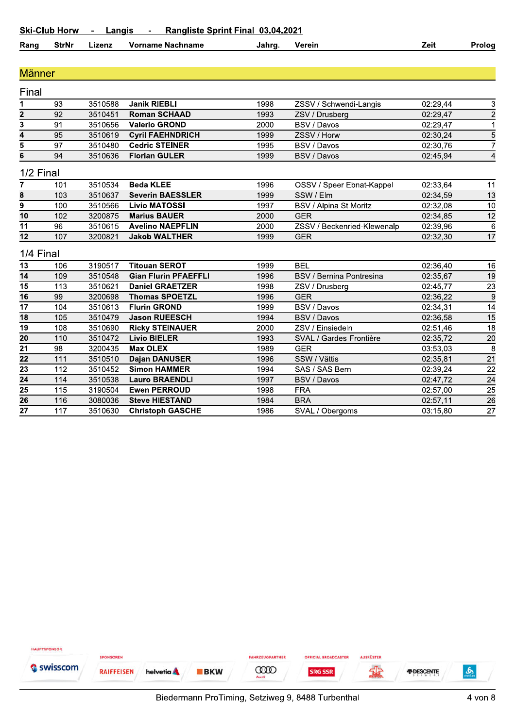| Rang<br>StrNr | .70P<br>. 1251 14 | Nachname<br>Vorname | Jahrɑ. | /erein | 'eit | Proloa |
|---------------|-------------------|---------------------|--------|--------|------|--------|
|---------------|-------------------|---------------------|--------|--------|------|--------|

#### <u>Manner</u><br>————————————————————

| Rang                    | <b>StrNr</b> | Lizenz  | <b>Vorname Nachname</b>     | Jahrg. | Verein                      | Zeit     | Prolog          |
|-------------------------|--------------|---------|-----------------------------|--------|-----------------------------|----------|-----------------|
| <b>Männer</b>           |              |         |                             |        |                             |          |                 |
|                         |              |         |                             |        |                             |          |                 |
| Final                   |              |         |                             |        |                             |          |                 |
| 1                       | 93           | 3510588 | <b>Janik RIEBLI</b>         | 1998   | ZSSV / Schwendi-Langis      | 02:29,44 |                 |
| $\mathbf 2$             | 92           | 3510451 | <b>Roman SCHAAD</b>         | 1993   | ZSV / Drusberg              | 02:29,47 | $\frac{3}{2}$   |
| $\overline{\mathbf{3}}$ | 91           | 3510656 | <b>Valerio GROND</b>        | 2000   | BSV / Davos                 | 02:29,47 |                 |
| 4                       | 95           | 3510619 | <b>Cyril FAEHNDRICH</b>     | 1999   | ZSSV / Horw                 | 02:30,24 | $\frac{5}{7}$   |
| $\overline{5}$          | 97           | 3510480 | <b>Cedric STEINER</b>       | 1995   | BSV / Davos                 | 02:30,76 |                 |
| 6                       | 94           | 3510636 | <b>Florian GULER</b>        | 1999   | BSV / Davos                 | 02:45,94 | $\overline{a}$  |
| 1/2 Final               |              |         |                             |        |                             |          |                 |
| 7                       | 101          | 3510534 | <b>Beda KLEE</b>            | 1996   | OSSV / Speer Ebnat-Kappel   | 02:33,64 | 11              |
| 8                       | 103          | 3510637 | <b>Severin BAESSLER</b>     | 1999   | SSW / Elm                   | 02:34,59 | $\overline{13}$ |
| $\overline{9}$          | 100          | 3510566 | <b>Livio MATOSSI</b>        | 1997   | BSV / Alpina St.Moritz      | 02:32,08 | $\overline{10}$ |
| $\overline{10}$         | 102          | 3200875 | <b>Marius BAUER</b>         | 2000   | <b>GER</b>                  | 02:34,85 | $\overline{12}$ |
| $\overline{11}$         | 96           | 3510615 | <b>Avelino NAEPFLIN</b>     | 2000   | ZSSV / Beckenried-Klewenalp | 02:39,96 | $\overline{6}$  |
| $\overline{12}$         | 107          | 3200821 | <b>Jakob WALTHER</b>        | 1999   | <b>GER</b>                  | 02:32,30 | $\overline{17}$ |
| 1/4 Final               |              |         |                             |        |                             |          |                 |
| 13                      | 106          | 3190517 | <b>Titouan SEROT</b>        | 1999   | <b>BEL</b>                  | 02:36,40 | 16              |
| 14                      | 109          | 3510548 | <b>Gian Flurin PFAEFFLI</b> | 1996   | BSV / Bernina Pontresina    | 02:35,67 | 19              |
| 15                      | 113          | 3510621 | <b>Daniel GRAETZER</b>      | 1998   | ZSV / Drusberg              | 02:45,77 | $\overline{23}$ |
| $\overline{16}$         | 99           | 3200698 | <b>Thomas SPOETZL</b>       | 1996   | <b>GER</b>                  | 02:36,22 | $\overline{9}$  |
| $\overline{17}$         | 104          | 3510613 | <b>Flurin GROND</b>         | 1999   | BSV / Davos                 | 02:34,31 | $\overline{14}$ |
| $\overline{18}$         | 105          | 3510479 | <b>Jason RUEESCH</b>        | 1994   | BSV / Davos                 | 02:36,58 | 15              |
| 19                      | 108          | 3510690 | <b>Ricky STEINAUER</b>      | 2000   | ZSV / Einsiedeln            | 02:51,46 | $\overline{18}$ |
| $\overline{20}$         | 110          | 3510472 | <b>Livio BIELER</b>         | 1993   | SVAL / Gardes-Frontière     | 02:35,72 | $\overline{20}$ |
| $\overline{21}$         | 98           | 3200435 | <b>Max OLEX</b>             | 1989   | <b>GER</b>                  | 03:53,03 | $\overline{8}$  |
| $\overline{22}$         | 111          | 3510510 | <b>Dajan DANUSER</b>        | 1996   | SSW / Vättis                | 02:35,81 | $\overline{21}$ |
| $\overline{23}$         | 112          | 3510452 | <b>Simon HAMMER</b>         | 1994   | SAS / SAS Bern              | 02:39,24 | $\overline{22}$ |
| $\overline{24}$         | 114          | 3510538 | <b>Lauro BRAENDLI</b>       | 1997   | BSV / Davos                 | 02:47,72 | $\overline{24}$ |
| 25                      | 115          | 3190504 | <b>Ewen PERROUD</b>         | 1998   | <b>FRA</b>                  | 02:57,00 | $\overline{25}$ |
| 26                      | 116          | 3080036 | <b>Steve HIESTAND</b>       | 1984   | <b>BRA</b>                  | 02:57,11 | 26              |
|                         | 117          | 3510630 | <b>Christoph GASCHE</b>     | 1986   | SVAL / Obergoms             | 03:15,80 | $\overline{27}$ |

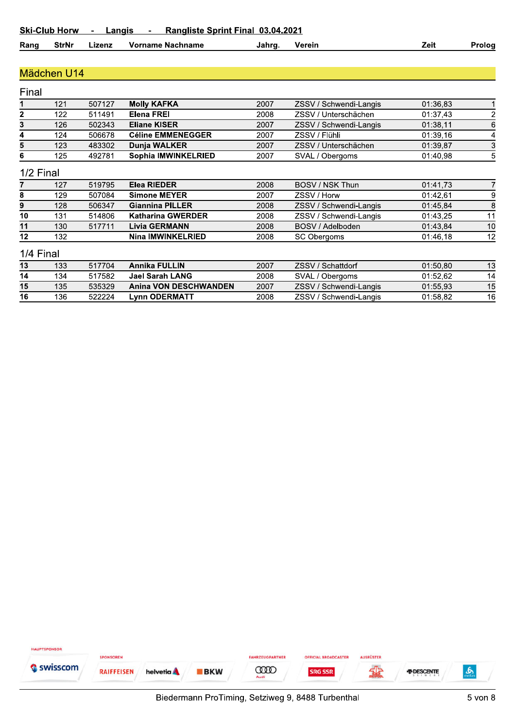**Lynn ODERMATT** 

| Ranɑ | StrNr | Lizenz | Vorname Nachname | Jahra. | Verein | Zeit | Prolog |
|------|-------|--------|------------------|--------|--------|------|--------|
|------|-------|--------|------------------|--------|--------|------|--------|

#### Mädchen U14

 $\overline{16}$ 

 $\frac{1}{136}$ 

522224

| Final |           |        |                              |      |                        |          |    |
|-------|-----------|--------|------------------------------|------|------------------------|----------|----|
|       | 121       | 507127 | <b>Molly KAFKA</b>           | 2007 | ZSSV / Schwendi-Langis | 01:36.83 |    |
| 2     | 122       | 511491 | Elena FREI                   | 2008 | ZSSV / Unterschächen   | 01:37.43 | 2  |
| 3     | 126       | 502343 | <b>Eliane KISER</b>          | 2007 | ZSSV / Schwendi-Langis | 01:38,11 | 6  |
| 4     | 124       | 506678 | <b>Céline EMMENEGGER</b>     | 2007 | ZSSV / Flühli          | 01:39,16 | 4  |
| 5     | 123       | 483302 | Dunja WALKER                 | 2007 | ZSSV / Unterschächen   | 01:39.87 | 3  |
| 6     | 125       | 492781 | Sophia IMWINKELRIED          | 2007 | SVAL / Obergoms        | 01:40,98 | 5  |
|       | 1/2 Final |        |                              |      |                        |          |    |
|       | 127       | 519795 | <b>Elea RIEDER</b>           | 2008 | BOSV / NSK Thun        | 01:41,73 |    |
| 8     | 129       | 507084 | <b>Simone MEYER</b>          | 2007 | ZSSV / Horw            | 01:42,61 | 9  |
| 9     | 128       | 506347 | <b>Giannina PILLER</b>       | 2008 | ZSSV / Schwendi-Langis | 01:45.84 | 8  |
| 10    | 131       | 514806 | <b>Katharina GWERDER</b>     | 2008 | ZSSV / Schwendi-Langis | 01:43.25 | 11 |
| 11    | 130       | 517711 | <b>Livia GERMANN</b>         | 2008 | BOSV / Adelboden       | 01:43,84 | 10 |
| 12    | 132       |        | <b>Nina IMWINKELRIED</b>     | 2008 | SC Obergoms            | 01:46,18 | 12 |
|       | 1/4 Final |        |                              |      |                        |          |    |
| 13    | 133       | 517704 | <b>Annika FULLIN</b>         | 2007 | ZSSV / Schattdorf      | 01:50.80 | 13 |
| 14    | 134       | 517582 | <b>Jael Sarah LANG</b>       | 2008 | SVAL / Obergoms        | 01:52.62 | 14 |
| 15    | 135       | 535329 | <b>Anina VON DESCHWANDEN</b> | 2007 | ZSSV / Schwendi-Langis | 01:55.93 | 15 |

 $\overline{2008}$ 

ZSSV / Schwendi-Langis



 $01:58,82$ 

 $\overline{16}$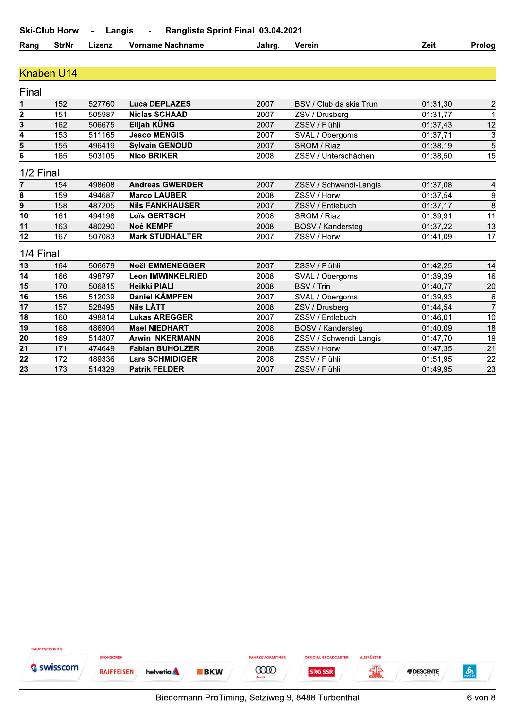| Rang<br>Nachname<br>StrNı<br>Vorname<br>Jahro.<br>.izen: | ∠eit<br>√erein | Proloa |
|----------------------------------------------------------|----------------|--------|
|----------------------------------------------------------|----------------|--------|

#### Knaben U14

| Final          |     |        |                          |      |                          |          |                 |
|----------------|-----|--------|--------------------------|------|--------------------------|----------|-----------------|
| 1              | 152 | 527760 | Luca DEPLAZES            | 2007 | BSV / Club da skis Trun  | 01:31,30 | $\overline{c}$  |
| $\overline{2}$ | 151 | 505987 | <b>Niclas SCHAAD</b>     | 2007 | ZSV / Drusberg           | 01:31.77 | 1               |
| 3              | 162 | 506675 | Elijah KÜNG              | 2007 | ZSSV / Flühli            | 01:37,43 | 12              |
| 4              | 153 | 511165 | <b>Jesco MENGIS</b>      | 2007 | SVAL / Obergoms          | 01:37,71 | 3               |
| 5              | 155 | 496419 | <b>Sylvain GENOUD</b>    | 2007 | SROM / Riaz              | 01:38.19 | 5               |
| 6              | 165 | 503105 | <b>Nico BRIKER</b>       | 2008 | ZSSV / Unterschächen     | 01:38,50 | 15              |
| 1/2 Final      |     |        |                          |      |                          |          |                 |
| 7              | 154 | 498608 | <b>Andreas GWERDER</b>   | 2007 | ZSSV / Schwendi-Langis   | 01:37,08 | 4               |
| 8              | 159 | 494687 | <b>Marco LAUBER</b>      | 2008 | ZSSV / Horw              | 01:37,54 | 9               |
| 9              | 158 | 487205 | <b>Nils FANKHAUSER</b>   | 2007 | ZSSV / Entlebuch         | 01:37,17 | 8               |
| 10             | 161 | 494198 | <b>Loïs GERTSCH</b>      | 2008 | SROM / Riaz              | 01:39.91 | 11              |
| 11             | 163 | 480290 | <b>Noé KEMPF</b>         | 2008 | <b>BOSV / Kandersteg</b> | 01:37,22 | 13              |
| 12             | 167 | 507083 | <b>Mark STUDHALTER</b>   | 2007 | ZSSV / Horw              | 01:41,09 | $\overline{17}$ |
| 1/4 Final      |     |        |                          |      |                          |          |                 |
| 13             | 164 | 506679 | <b>Noël EMMENEGGER</b>   | 2007 | ZSSV / Flühli            | 01:42,25 | 14              |
| 14             | 166 | 498797 | <b>Leon IMWINKELRIED</b> | 2008 | SVAL / Obergoms          | 01:39,39 | 16              |
| 15             | 170 | 506815 | <b>Heikki PIALI</b>      | 2008 | BSV / Trin               | 01:40,77 | 20              |
| 16             | 156 | 512039 | <b>Daniel KÄMPFEN</b>    | 2007 | SVAL / Obergoms          | 01:39,93 | 6               |
| 17             | 157 | 528495 | <b>Nils LÄTT</b>         | 2008 | ZSV / Drusberg           | 01:44.54 | 7               |
| 18             | 160 | 498814 | <b>Lukas AREGGER</b>     | 2007 | ZSSV / Entlebuch         | 01:46,01 | 10              |
| 19             | 168 | 486904 | <b>Mael NIEDHART</b>     | 2008 | BOSV / Kandersteg        | 01:40,09 | 18              |
| 20             | 169 | 514807 | <b>Arwin INKERMANN</b>   | 2008 | ZSSV / Schwendi-Langis   | 01:47,70 | 19              |
| 21             | 171 | 474649 | <b>Fabian BUHOLZER</b>   | 2008 | ZSSV / Horw              | 01:47,35 | 21              |
| 22             | 172 | 489336 | <b>Lars SCHMIDIGER</b>   | 2008 | ZSSV / Flühli            | 01:51,95 | 22              |
| 23             | 173 | 514329 | <b>Patrik FELDER</b>     | 2007 | ZSSV / Flühli            | 01:49.95 | 23              |

HAUPTSPONSOR SPONSOREN FAHRZEUGPARTNER **OFFICIAL BROADCASTER AUSRÜSTER** Swisscom 编 **COOD**  $\mathbf{r}$ **RAIFFEISEN** helvetia A **BKW** *FDESCENTE* **SRG SSR**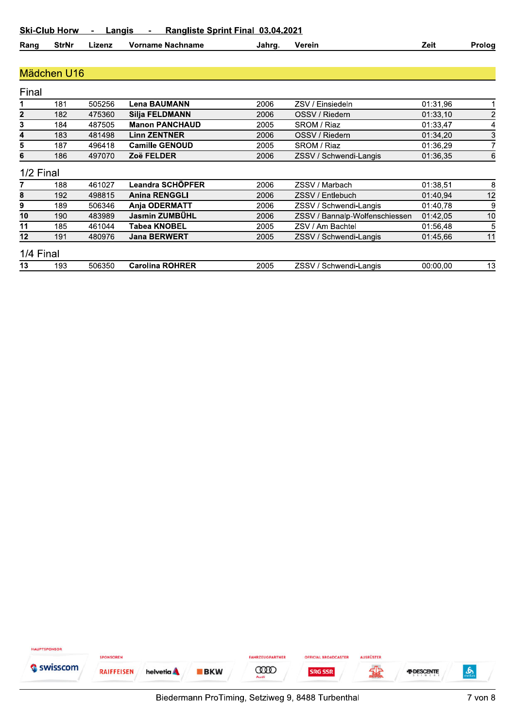| Rang | <b>StrNr</b> | ∟izenz | Vorname Nachname | Jahrq. | ∕erein | ∠eıt | Prolog |
|------|--------------|--------|------------------|--------|--------|------|--------|
|------|--------------|--------|------------------|--------|--------|------|--------|

#### Mädchen U16

| Final     |     |        |                        |      |                                |          |                |
|-----------|-----|--------|------------------------|------|--------------------------------|----------|----------------|
|           | 181 | 505256 | <b>Lena BAUMANN</b>    | 2006 | ZSV / Einsiedeln               | 01:31,96 |                |
| 2         | 182 | 475360 | <b>Silja FELDMANN</b>  | 2006 | OSSV / Riedern                 | 01:33,10 | $\overline{2}$ |
| 3         | 184 | 487505 | <b>Manon PANCHAUD</b>  | 2005 | SROM / Riaz                    | 01:33,47 | 4              |
| 4         | 183 | 481498 | <b>Linn ZENTNER</b>    | 2006 | OSSV / Riedern                 | 01:34.20 | 3              |
| 5         | 187 | 496418 | <b>Camille GENOUD</b>  | 2005 | SROM / Riaz                    | 01:36,29 |                |
| 6         | 186 | 497070 | Zoë FELDER             | 2006 | ZSSV / Schwendi-Langis         | 01:36.35 | 6              |
| 1/2 Final |     |        |                        |      |                                |          |                |
|           | 188 | 461027 | Leandra SCHÖPFER       | 2006 | ZSSV / Marbach                 | 01:38,51 | 8              |
| 8         | 192 | 498815 | <b>Anina RENGGLI</b>   | 2006 | ZSSV / Entlebuch               | 01:40.94 | 12             |
| 9         | 189 | 506346 | <b>Anja ODERMATT</b>   | 2006 | ZSSV / Schwendi-Langis         | 01:40,78 | 9              |
| 10        | 190 | 483989 | Jasmin ZUMBÜHL         | 2006 | ZSSV / Bannalp-Wolfenschiessen | 01:42,05 | 10             |
| 11        | 185 | 461044 | Tabea KNOBEL           | 2005 | ZSV / Am Bachtel               | 01:56.48 | 5              |
| 12        | 191 | 480976 | <b>Jana BERWERT</b>    | 2005 | ZSSV / Schwendi-Langis         | 01:45.66 | 11             |
| 1/4 Final |     |        |                        |      |                                |          |                |
| 13        | 193 | 506350 | <b>Carolina ROHRER</b> | 2005 | 7SSV / Schwendi-Langis         | 00.0000  | 13             |

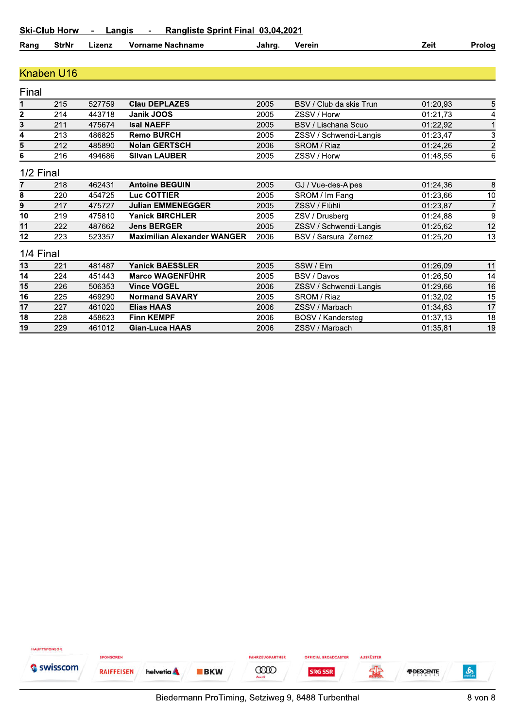| Rang | <b>StrNr</b> | Lizenz | Vorname Nachname | Jahro | Verein | Zeit | Prolog |
|------|--------------|--------|------------------|-------|--------|------|--------|
|------|--------------|--------|------------------|-------|--------|------|--------|

#### Knaben U16

 $\overline{19}$ 

 $\overline{229}$ 

461012

**Gian-Luca HAAS** 

| Final        |           |        |                                    |      |                             |          |                |
|--------------|-----------|--------|------------------------------------|------|-----------------------------|----------|----------------|
|              | 215       | 527759 | <b>Clau DEPLAZES</b>               | 2005 | BSV / Club da skis Trun     | 01:20,93 | 5              |
| $\mathbf{2}$ | 214       | 443718 | Janik JOOS                         | 2005 | ZSSV / Horw                 | 01:21,73 | 4              |
| 3            | 211       | 475674 | <b>Isai NAEFF</b>                  | 2005 | <b>BSV / Lischana Scuol</b> | 01:22,92 |                |
| 4            | 213       | 486825 | <b>Remo BURCH</b>                  | 2005 | ZSSV / Schwendi-Langis      | 01:23,47 | 3              |
| 5            | 212       | 485890 | <b>Nolan GERTSCH</b>               | 2006 | SROM / Riaz                 | 01:24.26 | $\overline{2}$ |
| 6            | 216       | 494686 | <b>Silvan LAUBER</b>               | 2005 | ZSSV / Horw                 | 01:48,55 | 6              |
|              | 1/2 Final |        |                                    |      |                             |          |                |
|              | 218       | 462431 | <b>Antoine BEGUIN</b>              | 2005 | GJ / Vue-des-Alpes          | 01:24,36 | 8              |
| 8            | 220       | 454725 | Luc COTTIER                        | 2005 | SROM / Im Fang              | 01:23,66 | 10             |
| 9            | 217       | 475727 | <b>Julian EMMENEGGER</b>           | 2005 | ZSSV / Flühli               | 01:23,87 |                |
| 10           | 219       | 475810 | <b>Yanick BIRCHLER</b>             | 2005 | ZSV / Drusberg              | 01:24,88 | 9              |
| 11           | 222       | 487662 | <b>Jens BERGER</b>                 | 2005 | ZSSV / Schwendi-Langis      | 01:25,62 | 12             |
| 12           | 223       | 523357 | <b>Maximilian Alexander WANGER</b> | 2006 | BSV / Sarsura Zernez        | 01:25.20 | 13             |
| 1/4 Final    |           |        |                                    |      |                             |          |                |
| 13           | 221       | 481487 | <b>Yanick BAESSLER</b>             | 2005 | SSW / Elm                   | 01:26,09 | 11             |
| 14           | 224       | 451443 | Marco WAGENFÜHR                    | 2005 | BSV / Davos                 | 01:26.50 | 14             |
| 15           | 226       | 506353 | <b>Vince VOGEL</b>                 | 2006 | ZSSV / Schwendi-Langis      | 01:29.66 | 16             |
| 16           | 225       | 469290 | <b>Normand SAVARY</b>              | 2005 | SROM / Riaz                 | 01:32,02 | 15             |
| 17           | 227       | 461020 | <b>Elias HAAS</b>                  | 2006 | ZSSV / Marbach              | 01:34.63 | 17             |
| 18           | 228       | 458623 | <b>Finn KEMPF</b>                  | 2006 | BOSV / Kandersteg           | 01:37.13 | 18             |

2006

ZSSV / Marbach

 $01:35,81$ 

 $\overline{19}$ 

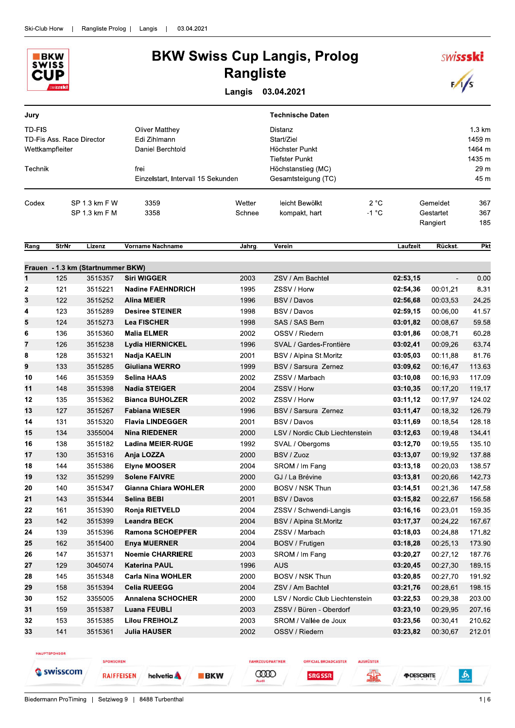

### **BKW Swiss Cup Langis, Prolog Rangliste**

Langis 03.04.2021

| Jury                                                   |              |                                              |                                                           |                  | <b>Technische Daten</b>                                          |                 |          |                                   |                                      |
|--------------------------------------------------------|--------------|----------------------------------------------|-----------------------------------------------------------|------------------|------------------------------------------------------------------|-----------------|----------|-----------------------------------|--------------------------------------|
| TD-FIS<br>TD-Fis Ass. Race Director<br>Wettkampfleiter |              |                                              | <b>Oliver Matthey</b><br>Edi Zihlmann<br>Daniel Berchtold |                  | Distanz<br>Start/Ziel<br>Höchster Punkt<br><b>Tiefster Punkt</b> |                 |          |                                   | 1.3 km<br>1459 m<br>1464 m<br>1435 m |
| Technik                                                |              |                                              | frei<br>Einzelstart, Intervall 15 Sekunden                |                  | Höchstanstieg (MC)<br>Gesamtsteigung (TC)                        |                 |          |                                   |                                      |
| Codex                                                  |              | SP 1.3 km F W<br>SP 1.3 km F M               | 3359<br>3358                                              | Wetter<br>Schnee | leicht Bewölkt<br>kompakt, hart                                  | 2 °C<br>$-1 °C$ |          | Gemeldet<br>Gestartet<br>Rangiert | 367<br>367<br>185                    |
| Rang                                                   | <b>StrNr</b> | Lizenz                                       | Vorname Nachname                                          | Jahrg.           | Verein                                                           |                 | Laufzeit | Rückst.                           | Pkt                                  |
|                                                        |              |                                              |                                                           |                  |                                                                  |                 |          |                                   |                                      |
| 1                                                      | 125          | Frauen - 1.3 km (Startnummer BKW)<br>3515357 | <b>Siri WIGGER</b>                                        | 2003             | ZSV / Am Bachtel                                                 |                 | 02:53,15 | $\blacksquare$                    | 0.00                                 |
| 2                                                      | 121          | 3515221                                      | <b>Nadine FAEHNDRICH</b>                                  | 1995             | ZSSV / Horw                                                      |                 | 02:54,36 | 00:01,21                          | 8.31                                 |
| 3                                                      | 122          | 3515252                                      | <b>Alina MEIER</b>                                        | 1996             | <b>BSV / Davos</b>                                               |                 | 02:56,68 | 00:03,53                          | 24.25                                |
| 4                                                      | 123          | 3515289                                      | <b>Desiree STEINER</b>                                    | 1998             | BSV / Davos                                                      |                 | 02:59,15 | 00:06,00                          | 41.57                                |
| 5                                                      | 124          | 3515273                                      | <b>Lea FISCHER</b>                                        | 1998             | SAS / SAS Bern                                                   |                 | 03:01,82 | 00:08,67                          | 59.58                                |
| 6                                                      | 136          | 3515360                                      | <b>Malia ELMER</b>                                        | 2002             | OSSV / Riedern                                                   |                 | 03:01,86 | 00:08,71                          | 60.28                                |
| 7                                                      | 126          | 3515238                                      | <b>Lydia HIERNICKEL</b>                                   | 1996             | SVAL / Gardes-Frontière                                          |                 | 03:02,41 | 00:09,26                          | 63.74                                |
| 8                                                      | 128          | 3515321                                      | Nadja KAELIN                                              | 2001             | BSV / Alpina St.Moritz                                           |                 | 03:05,03 | 00:11,88                          | 81.76                                |
| 9                                                      | 133          | 3515285                                      | <b>Giuliana WERRO</b>                                     | 1999             | BSV / Sarsura Zernez                                             |                 | 03:09,62 | 00:16,47                          | 113.63                               |
| 10                                                     | 146          | 3515359                                      | <b>Selina HAAS</b>                                        | 2002             | ZSSV / Marbach                                                   |                 | 03:10,08 | 00:16,93                          | 117.09                               |
| 11                                                     | 148          | 3515398                                      | <b>Nadia STEIGER</b>                                      | 2004             | ZSSV / Horw                                                      |                 | 03:10,35 | 00:17,20                          | 119.17                               |
| 12                                                     | 135          | 3515362                                      | <b>Bianca BUHOLZER</b>                                    | 2002             | ZSSV / Horw                                                      |                 | 03:11,12 | 00:17,97                          | 124.02                               |
| 13                                                     | 127          | 3515267                                      | <b>Fabiana WIESER</b>                                     | 1996             | BSV / Sarsura Zernez                                             |                 | 03:11,47 | 00:18,32                          | 126.79                               |
| 14                                                     | 131          | 3515320                                      | <b>Flavia LINDEGGER</b>                                   | 2001             | BSV / Davos                                                      |                 | 03:11,69 | 00:18,54                          | 128.18                               |
| 15                                                     | 134          | 3355004                                      | <b>Nina RIEDENER</b>                                      | 2000             | LSV / Nordic Club Liechtenstein                                  |                 | 03:12,63 | 00:19,48                          | 134.41                               |
| 16                                                     | 138          | 3515182                                      | <b>Ladina MEIER-RUGE</b>                                  | 1992             | SVAL / Obergoms                                                  |                 | 03:12,70 | 00:19,55                          | 135.10                               |
| 17                                                     | 130          | 3515316                                      | Anja LOZZA                                                | 2000             | BSV / Zuoz                                                       |                 | 03:13.07 | 00:19,92                          | 137.88                               |
| 18                                                     | 144          | 3515386                                      | <b>Elyne MOOSER</b>                                       | 2004             | SROM / Im Fang                                                   |                 | 03:13,18 | 00:20,03                          | 138.57                               |
| 19                                                     | 132          | 3515299                                      | <b>Solene FAIVRE</b>                                      | 2000             | GJ / La Brévine                                                  |                 | 03:13,81 | 00:20,66                          | 142.73                               |
| 20                                                     | 140          | 3515347                                      | <b>Gianna Chiara WOHLER</b>                               | 2000             | BOSV / NSK Thun                                                  |                 | 03:14,51 | 00:21,36                          | 147.58                               |
| 21                                                     | 143          | 3515344                                      | Selina BEBI                                               | 2001             | BSV / Davos                                                      |                 | 03:15,82 | 00:22,67                          | 156.58                               |
| 22                                                     | 161          | 3515390                                      | Ronja RIETVELD                                            | 2004             | ZSSV / Schwendi-Langis                                           |                 | 03:16,16 | 00:23,01                          | 159.35                               |
| 23                                                     | 142          | 3515399                                      | <b>Leandra BECK</b>                                       | 2004             | BSV / Alpina St.Moritz                                           |                 | 03:17,37 | 00:24,22                          | 167.67                               |
| 24                                                     | 139          | 3515396                                      | <b>Ramona SCHOEPFER</b>                                   | 2004             | ZSSV / Marbach                                                   |                 | 03:18,03 | 00:24,88                          | 171.82                               |
| 25                                                     | 162          | 3515400                                      | <b>Enya MUERNER</b>                                       | 2004             | BOSV / Frutigen                                                  |                 | 03:18.28 | 00:25,13                          | 173.90                               |
| 26                                                     | 147          | 3515371                                      | <b>Noemie CHARRIERE</b>                                   | 2003             | SROM / Im Fang                                                   |                 | 03:20,27 | 00:27,12                          | 187.76                               |
| 27                                                     | 129          | 3045074                                      | <b>Katerina PAUL</b>                                      | 1996             | <b>AUS</b>                                                       |                 | 03:20,45 | 00:27,30                          | 189.15                               |
| 28                                                     | 145          | 3515348                                      | <b>Carla Nina WOHLER</b>                                  | 2000             | BOSV / NSK Thun                                                  |                 | 03:20,85 | 00:27,70                          | 191.92                               |
| 29                                                     | 158          | 3515394                                      | <b>Celia RUEEGG</b>                                       | 2004             | ZSV / Am Bachtel                                                 |                 | 03:21,76 | 00:28,61                          | 198.15                               |
| 30                                                     | 152          | 3355005                                      | <b>Annalena SCHOCHER</b>                                  | 2000             | LSV / Nordic Club Liechtenstein                                  |                 | 03:22,53 | 00:29,38                          | 203.00                               |
| 31                                                     | 159          | 3515387                                      | <b>Luana FEUBLI</b>                                       | 2003             | ZSSV / Büren - Oberdorf                                          |                 | 03:23,10 | 00:29,95                          | 207.16                               |
| 32                                                     | 153          | 3515385                                      | <b>Lilou FREIHOLZ</b>                                     | 2003             | SROM / Vallée de Joux                                            |                 | 03:23,56 | 00:30,41                          | 210.62                               |
| 33                                                     | 141          | 3515361                                      | <b>Julia HAUSER</b>                                       | 2002             | OSSV / Riedern                                                   |                 | 03:23,82 | 00:30,67                          | 212.01                               |

HAUPTSPONSOR

SPONSOREN Swisscom

**RAIFFEISEN** helvetia **A**  **CODO** 

**BKW** 

FAHRZEUGPARTNER

**SRG SSR** 

**OFFICIAL BROADCASTER** 

**AUSRÜSTER** 

霏

*FIDESCENTE* 

 $\mathbf{A}$ 

**SWISSSKI** 

 $\sqrt{s}$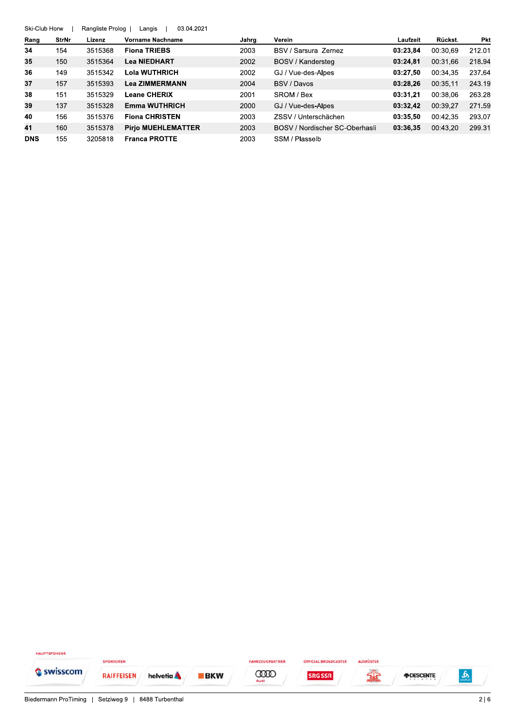|            | 03.04.2021<br>Ski-Club Horw<br>Rangliste Prolog<br>Langis |         |                           |        |                                |          |          |            |  |  |  |  |
|------------|-----------------------------------------------------------|---------|---------------------------|--------|--------------------------------|----------|----------|------------|--|--|--|--|
| Rang       | <b>StrNr</b>                                              | Lizenz  | Vorname Nachname          | Jahrq. | Verein                         | Laufzeit | Rückst.  | <b>Pkt</b> |  |  |  |  |
| 34         | 154                                                       | 3515368 | <b>Fiona TRIEBS</b>       | 2003   | BSV / Sarsura Zernez           | 03:23.84 | 00:30.69 | 212.01     |  |  |  |  |
| 35         | 150                                                       | 3515364 | <b>Lea NIEDHART</b>       | 2002   | BOSV / Kandersteg              | 03:24,81 | 00:31.66 | 218.94     |  |  |  |  |
| 36         | 149                                                       | 3515342 | Lola WUTHRICH             | 2002   | GJ / Vue-des-Alpes             | 03:27.50 | 00:34.35 | 237.64     |  |  |  |  |
| 37         | 157                                                       | 3515393 | <b>Lea ZIMMERMANN</b>     | 2004   | BSV / Davos                    | 03:28.26 | 00:35.11 | 243.19     |  |  |  |  |
| 38         | 151                                                       | 3515329 | <b>Leane CHERIX</b>       | 2001   | SROM / Bex                     | 03:31.21 | 00:38.06 | 263.28     |  |  |  |  |
| 39         | 137                                                       | 3515328 | <b>Emma WUTHRICH</b>      | 2000   | GJ / Vue-des-Alpes             | 03:32.42 | 00:39.27 | 271.59     |  |  |  |  |
| 40         | 156                                                       | 3515376 | <b>Fiona CHRISTEN</b>     | 2003   | ZSSV / Unterschächen           | 03:35.50 | 00:42.35 | 293.07     |  |  |  |  |
| 41         | 160                                                       | 3515378 | <b>Pirio MUEHLEMATTER</b> | 2003   | BOSV / Nordischer SC-Oberhasli | 03:36.35 | 00:43.20 | 299.31     |  |  |  |  |
| <b>DNS</b> | 155                                                       | 3205818 | <b>Franca PROTTE</b>      | 2003   | SSM / Plasselb                 |          |          |            |  |  |  |  |

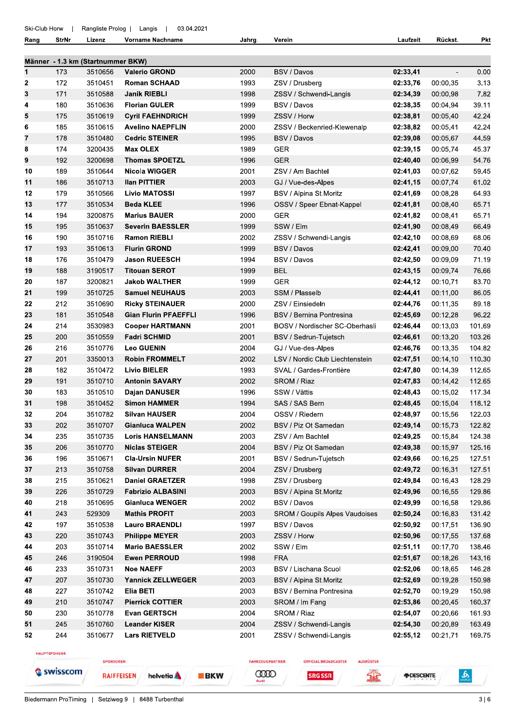Rang

**StrNr** 

Lizenz Vorname Nachname Jahrg.

Verein

Laufzeit Rückst.  $Pkt$ 

|    |     | Männer - 1.3 km (Startnummer BKW) |                             |      |                                 |          |          |        |
|----|-----|-----------------------------------|-----------------------------|------|---------------------------------|----------|----------|--------|
| 1  | 173 | 3510656                           | <b>Valerio GROND</b>        | 2000 | BSV / Davos                     | 02:33,41 |          | 0.00   |
| 2  | 172 | 3510451                           | <b>Roman SCHAAD</b>         | 1993 | ZSV / Drusberg                  | 02:33,76 | 00:00,35 | 3.13   |
| 3  | 171 | 3510588                           | <b>Janik RIEBLI</b>         | 1998 | ZSSV / Schwendi-Langis          | 02:34,39 | 00:00,98 | 7.82   |
| 4  | 180 | 3510636                           | <b>Florian GULER</b>        | 1999 | BSV / Davos                     | 02:38,35 | 00:04,94 | 39.11  |
| 5  | 175 | 3510619                           | <b>Cyril FAEHNDRICH</b>     | 1999 | ZSSV / Horw                     | 02:38,81 | 00:05,40 | 42.24  |
| 6  | 185 | 3510615                           | <b>Avelino NAEPFLIN</b>     | 2000 | ZSSV / Beckenried-Klewenalp     | 02:38,82 | 00:05,41 | 42.24  |
| 7  | 178 | 3510480                           | <b>Cedric STEINER</b>       | 1995 | BSV / Davos                     | 02:39,08 | 00:05,67 | 44.59  |
| 8  | 174 | 3200435                           | <b>Max OLEX</b>             | 1989 | <b>GER</b>                      | 02:39,15 | 00:05,74 | 45.37  |
| 9  | 192 | 3200698                           | <b>Thomas SPOETZL</b>       | 1996 | <b>GER</b>                      | 02:40,40 | 00:06,99 | 54.76  |
| 10 | 189 | 3510644                           | <b>Nicola WIGGER</b>        | 2001 | ZSV / Am Bachtel                | 02:41,03 | 00:07,62 | 59.45  |
| 11 | 186 | 3510713                           | <b>Ilan PITTIER</b>         | 2003 | GJ / Vue-des-Alpes              | 02:41,15 | 00:07.74 | 61.02  |
| 12 | 179 | 3510566                           | <b>Livio MATOSSI</b>        | 1997 | BSV / Alpina St.Moritz          | 02:41,69 | 00:08,28 | 64.93  |
| 13 | 177 | 3510534                           | <b>Beda KLEE</b>            | 1996 | OSSV / Speer Ebnat-Kappel       | 02:41,81 | 00:08,40 | 65.71  |
| 14 | 194 | 3200875                           | <b>Marius BAUER</b>         | 2000 | <b>GER</b>                      | 02:41,82 | 00:08,41 | 65.71  |
| 15 | 195 | 3510637                           | <b>Severin BAESSLER</b>     | 1999 | SSW / Elm                       | 02:41,90 | 00:08.49 | 66.49  |
| 16 | 190 | 3510716                           | <b>Ramon RIEBLI</b>         | 2002 | ZSSV / Schwendi-Langis          | 02:42,10 | 00:08,69 | 68.06  |
| 17 | 193 | 3510613                           | <b>Flurin GROND</b>         | 1999 | <b>BSV / Davos</b>              | 02:42,41 | 00:09,00 | 70.40  |
| 18 | 176 | 3510479                           | <b>Jason RUEESCH</b>        | 1994 | BSV / Davos                     | 02:42,50 | 00:09,09 | 71.19  |
| 19 | 188 | 3190517                           | <b>Titouan SEROT</b>        | 1999 | <b>BEL</b>                      | 02:43,15 | 00:09,74 | 76.66  |
| 20 | 187 | 3200821                           | <b>Jakob WALTHER</b>        | 1999 | <b>GER</b>                      | 02:44.12 | 00:10,71 | 83.70  |
| 21 | 199 | 3510725                           | <b>Samuel NEUHAUS</b>       | 2003 | SSM / Plasselb                  | 02:44,41 | 00:11,00 | 86.05  |
| 22 | 212 | 3510690                           | <b>Ricky STEINAUER</b>      | 2000 | ZSV / Einsiedeln                | 02:44,76 | 00:11,35 | 89.18  |
| 23 | 181 | 3510548                           | <b>Gian Flurin PFAEFFLI</b> | 1996 | BSV / Bernina Pontresina        | 02:45,69 | 00:12,28 | 96.22  |
| 24 | 214 | 3530983                           | <b>Cooper HARTMANN</b>      | 2001 | BOSV / Nordischer SC-Oberhasli  | 02:46,44 | 00:13,03 | 101.69 |
| 25 | 200 | 3510559                           | <b>Fadri SCHMID</b>         | 2001 | BSV / Sedrun-Tujetsch           | 02:46,61 | 00:13,20 | 103.26 |
| 26 | 216 | 3510776                           | <b>Leo GUENIN</b>           | 2004 | GJ / Vue-des-Alpes              | 02:46,76 | 00:13,35 | 104.82 |
| 27 | 201 | 3350013                           | <b>Robin FROMMELT</b>       | 2002 | LSV / Nordic Club Liechtenstein | 02:47,51 | 00:14,10 | 110.30 |
| 28 | 182 | 3510472                           | <b>Livio BIELER</b>         | 1993 | SVAL / Gardes-Frontière         | 02:47,80 | 00:14,39 | 112.65 |
| 29 | 191 | 3510710                           | <b>Antonin SAVARY</b>       | 2002 | SROM / Riaz                     | 02:47,83 | 00:14,42 | 112.65 |
| 30 | 183 | 3510510                           | Dajan DANUSER               | 1996 | SSW / Vättis                    | 02:48,43 | 00:15,02 | 117.34 |
| 31 | 198 | 3510452                           | <b>Simon HAMMER</b>         | 1994 | SAS / SAS Bern                  | 02:48,45 | 00:15,04 | 118.12 |
| 32 | 204 | 3510782                           | <b>Silvan HAUSER</b>        | 2004 | OSSV / Riedern                  | 02:48,97 | 00:15,56 | 122.03 |
| 33 | 202 | 3510707                           | <b>Gianluca WALPEN</b>      | 2002 | BSV / Piz Ot Samedan            | 02:49,14 | 00:15,73 | 122.82 |
| 34 | 235 | 3510735                           | <b>Loris HANSELMANN</b>     | 2003 | ZSV / Am Bachtel                | 02:49,25 | 00:15,84 | 124.38 |
| 35 | 206 | 3510770                           | <b>Niclas STEIGER</b>       | 2004 | BSV / Piz Ot Samedan            | 02:49,38 | 00:15,97 | 125.16 |
| 36 | 196 | 3510671                           | <b>Cla-Ursin NUFER</b>      | 2001 | BSV / Sedrun-Tujetsch           | 02:49,66 | 00:16,25 | 127.51 |
| 37 | 213 | 3510758                           | <b>Silvan DURRER</b>        | 2004 | ZSV / Drusberg                  | 02:49,72 | 00:16,31 | 127.51 |
| 38 | 215 | 3510621                           | <b>Daniel GRAETZER</b>      | 1998 | ZSV / Drusberg                  | 02:49,84 | 00:16.43 | 128.29 |
| 39 | 226 | 3510729                           | <b>Fabrizio ALBASINI</b>    | 2003 | BSV / Alpina St.Moritz          | 02:49,96 | 00:16,55 | 129.86 |
| 40 | 218 | 3510695                           | <b>Gianluca WENGER</b>      | 2002 | BSV / Davos                     | 02:49,99 | 00:16,58 | 129.86 |
| 41 | 243 | 529309                            | <b>Mathis PROFIT</b>        | 2003 | SROM / Goupils Alpes Vaudoises  | 02:50,24 | 00:16,83 | 131.42 |
| 42 | 197 | 3510538                           | <b>Lauro BRAENDLI</b>       | 1997 | BSV / Davos                     | 02:50,92 | 00:17,51 | 136.90 |
| 43 | 220 | 3510743                           | <b>Philippe MEYER</b>       | 2003 | ZSSV / Horw                     | 02:50,96 | 00:17,55 | 137.68 |
| 44 | 203 | 3510714                           | <b>Mario BAESSLER</b>       | 2002 | SSW / Elm                       | 02:51,11 | 00:17,70 | 138.46 |
| 45 | 246 | 3190504                           | <b>Ewen PERROUD</b>         | 1998 | <b>FRA</b>                      | 02:51,67 | 00:18,26 | 143.16 |
| 46 | 233 | 3510731                           | <b>Noe NAEFF</b>            | 2003 | BSV / Lischana Scuol            | 02:52,06 | 00:18,65 | 146.28 |
| 47 | 207 | 3510730                           | <b>Yannick ZELLWEGER</b>    | 2003 | BSV / Alpina St.Moritz          | 02:52,69 | 00:19,28 | 150.98 |
| 48 | 227 | 3510742                           | Elia BETI                   | 2003 | BSV / Bernina Pontresina        | 02:52,70 | 00:19,29 | 150.98 |
| 49 | 210 | 3510747                           | <b>Pierrick COTTIER</b>     | 2003 | SROM / Im Fang                  | 02:53,86 | 00:20,45 | 160.37 |
| 50 | 230 | 3510778                           | <b>Evan GERTSCH</b>         | 2004 | SROM / Riaz                     | 02:54,07 | 00:20,66 | 161.93 |
| 51 | 245 | 3510760                           | <b>Leander KISER</b>        | 2004 | ZSSV / Schwendi-Langis          | 02:54,30 | 00:20,89 | 163.49 |
| 52 | 244 | 3510677                           | <b>Lars RIETVELD</b>        | 2001 | ZSSV / Schwendi-Langis          | 02:55,12 | 00:21,71 | 169.75 |
|    |     |                                   |                             |      |                                 |          |          |        |

HAUPTSPONSOR

Swisscom

SPONSOREN

**RAIFFEISEN** 

helvetia A

**BKW** 

**CODO** 

**SRG SSR** 

FAHRZEUGPARTNER

**OFFICIAL BROADCASTER** 

AUSRÜSTER

霏 *FDESCENTE* 

Biedermann ProTiming | Setziweg 9 | 8488 Turbenthal

 $\frac{6}{200}$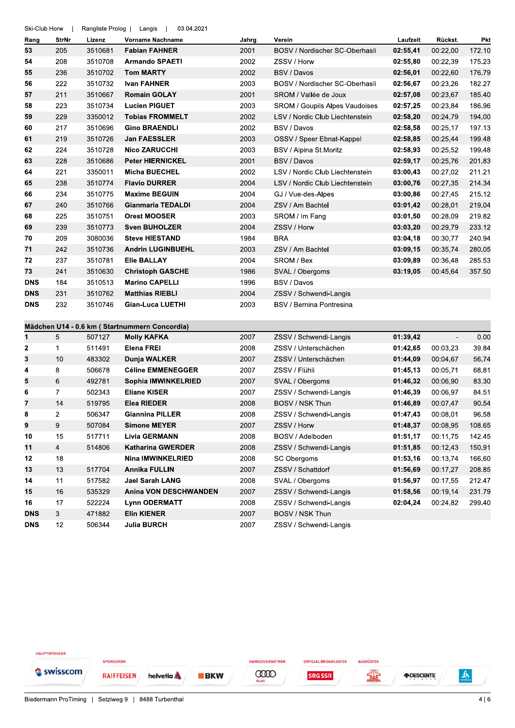| Ski-Club Horw |                | Rangliste Prolog | 03.04.2021<br>Langis                          |        |                                       |          |                          |            |
|---------------|----------------|------------------|-----------------------------------------------|--------|---------------------------------------|----------|--------------------------|------------|
| Rang          | StrNr          | Lizenz           | <b>Vorname Nachname</b>                       | Jahrg. | Verein                                | Laufzeit | Rückst.                  | <b>Pkt</b> |
| 53            | 205            | 3510681          | <b>Fabian FAHNER</b>                          | 2001   | BOSV / Nordischer SC-Oberhasli        | 02:55,41 | 00:22,00                 | 172.10     |
| 54            | 208            | 3510708          | <b>Armando SPAETI</b>                         | 2002   | ZSSV / Horw                           | 02:55,80 | 00:22,39                 | 175.23     |
| 55            | 236            | 3510702          | <b>Tom MARTY</b>                              | 2002   | BSV / Davos                           | 02:56,01 | 00:22.60                 | 176.79     |
| 56            | 222            | 3510732          | <b>Ivan FAHNER</b>                            | 2003   | BOSV / Nordischer SC-Oberhasli        | 02:56,67 | 00:23,26                 | 182.27     |
| 57            | 211            | 3510667          | <b>Romain GOLAY</b>                           | 2001   | SROM / Vallée de Joux                 | 02:57,08 | 00:23,67                 | 185.40     |
| 58            | 223            | 3510734          | <b>Lucien PIGUET</b>                          | 2003   | <b>SROM / Goupils Alpes Vaudoises</b> | 02:57,25 | 00:23,84                 | 186.96     |
| 59            | 229            | 3350012          | <b>Tobias FROMMELT</b>                        | 2002   | LSV / Nordic Club Liechtenstein       | 02:58,20 | 00:24,79                 | 194.00     |
| 60            | 217            | 3510696          | <b>Gino BRAENDLI</b>                          | 2002   | BSV / Davos                           | 02:58,58 | 00:25,17                 | 197.13     |
| 61            | 219            | 3510726          | <b>Jan FAESSLER</b>                           | 2003   | OSSV / Speer Ebnat-Kappel             | 02:58,85 | 00:25,44                 | 199.48     |
| 62            | 224            | 3510728          | <b>Nico ZARUCCHI</b>                          | 2003   | BSV / Alpina St.Moritz                | 02:58,93 | 00:25,52                 | 199.48     |
| 63            | 228            | 3510686          | <b>Peter HIERNICKEL</b>                       | 2001   | BSV / Davos                           | 02:59,17 | 00:25,76                 | 201.83     |
| 64            | 221            | 3350011          | <b>Micha BUECHEL</b>                          | 2002   | LSV / Nordic Club Liechtenstein       | 03:00,43 | 00:27,02                 | 211.21     |
| 65            | 238            | 3510774          | <b>Flavio DURRER</b>                          | 2004   | LSV / Nordic Club Liechtenstein       | 03:00,76 | 00:27,35                 | 214.34     |
| 66            | 234            | 3510775          | <b>Maxime BEGUIN</b>                          | 2004   | GJ / Vue-des-Alpes                    | 03:00,86 | 00:27,45                 | 215.12     |
| 67            | 240            | 3510766          | <b>Gianmaria TEDALDI</b>                      | 2004   | ZSV / Am Bachtel                      | 03:01,42 | 00:28,01                 | 219.04     |
| 68            | 225            | 3510751          | <b>Orest MOOSER</b>                           | 2003   | SROM / Im Fang                        | 03:01,50 | 00:28,09                 | 219.82     |
| 69            | 239            | 3510773          | <b>Sven BUHOLZER</b>                          | 2004   | ZSSV / Horw                           | 03:03,20 | 00:29,79                 | 233.12     |
| 70            | 209            | 3080036          | <b>Steve HIESTAND</b>                         | 1984   | <b>BRA</b>                            | 03:04,18 | 00:30,77                 | 240.94     |
| 71            | 242            | 3510736          | <b>Andrin LUGINBUEHL</b>                      | 2003   | ZSV / Am Bachtel                      | 03:09,15 | 00:35,74                 | 280.05     |
| 72            | 237            | 3510781          | <b>Elie BALLAY</b>                            | 2004   | SROM / Bex                            | 03:09,89 | 00:36,48                 | 285.53     |
| 73            | 241            | 3510630          | <b>Christoph GASCHE</b>                       | 1986   | SVAL / Obergoms                       | 03:19,05 | 00:45,64                 | 357.50     |
| <b>DNS</b>    | 184            | 3510513          | <b>Marino CAPELLI</b>                         | 1996   | BSV / Davos                           |          |                          |            |
| <b>DNS</b>    | 231            | 3510762          | <b>Matthias RIEBLI</b>                        | 2004   | ZSSV / Schwendi-Langis                |          |                          |            |
| <b>DNS</b>    | 232            | 3510746          | <b>Gian-Luca LUETHI</b>                       | 2003   | BSV / Bernina Pontresina              |          |                          |            |
|               |                |                  | Mädchen U14 - 0.6 km (Startnummern Concordia) |        |                                       |          |                          |            |
| 1             | 5              | 507127           | <b>Molly KAFKA</b>                            | 2007   | ZSSV / Schwendi-Langis                | 01:39,42 | $\overline{\phantom{a}}$ | 0.00       |
| 2             | 1              | 511491           | <b>Elena FREI</b>                             | 2008   | ZSSV / Unterschächen                  | 01:42,65 | 00:03.23                 | 39.84      |
| 3             | 10             | 483302           | <b>Dunja WALKER</b>                           | 2007   | ZSSV / Unterschächen                  | 01:44,09 | 00:04,67                 | 56.74      |
| 4             | 8              | 506678           | <b>Céline EMMENEGGER</b>                      | 2007   | ZSSV / Flühli                         | 01:45,13 | 00:05,71                 | 68.81      |
| 5             | 6              | 492781           | Sophia IMWINKELRIED                           | 2007   | SVAL / Obergoms                       | 01:46,32 | 00:06,90                 | 83.30      |
| 6             | $\overline{7}$ | 502343           | <b>Eliane KISER</b>                           | 2007   | ZSSV / Schwendi-Langis                | 01:46,39 | 00:06,97                 | 84.51      |
| 7             | 14             | 519795           | Elea RIEDER                                   | 2008   | BOSV / NSK Thun                       | 01:46,89 | 00:07,47                 | 90.54      |
| 8             | $\overline{c}$ | 506347           | <b>Giannina PILLER</b>                        | 2008   | ZSSV / Schwendi-Langis                | 01:47,43 | 00:08,01                 | 96.58      |
| 9             | 9              | 507084           | <b>Simone MEYER</b>                           | 2007   | ZSSV / Horw                           | 01:48,37 | 00:08,95                 | 108.65     |
| 10            | 15             | 517711           | <b>Livia GERMANN</b>                          | 2008   | BOSV / Adelboden                      | 01:51,17 | 00:11,75                 | 142.45     |
| 11            | $\overline{4}$ | 514806           | <b>Katharina GWERDER</b>                      | 2008   | ZSSV / Schwendi-Langis                | 01:51,85 | 00:12,43                 | 150.91     |
| 12            | 18             |                  | <b>Nina IMWINKELRIED</b>                      | 2008   | SC Obergoms                           | 01:53,16 | 00:13,74                 | 166.60     |
| 13            | 13             | 517704           | <b>Annika FULLIN</b>                          | 2007   | ZSSV / Schattdorf                     | 01:56,69 | 00:17,27                 | 208.85     |
| 14            | 11             | 517582           | Jael Sarah LANG                               | 2008   | SVAL / Obergoms                       | 01:56,97 | 00:17,55                 | 212.47     |
| 15            | 16             | 535329           | <b>Anina VON DESCHWANDEN</b>                  | 2007   | ZSSV / Schwendi-Langis                | 01:58,56 | 00:19,14                 | 231.79     |
| 16            | 17             | 522224           | <b>Lynn ODERMATT</b>                          | 2008   | ZSSV / Schwendi-Langis                | 02:04,24 | 00:24,82                 | 299.40     |
| <b>DNS</b>    | 3              | 471882           | <b>Elin KIENER</b>                            | 2007   | BOSV / NSK Thun                       |          |                          |            |
| <b>DNS</b>    | 12             | 506344           | <b>Julia BURCH</b>                            | 2007   | ZSSV / Schwendi-Langis                |          |                          |            |

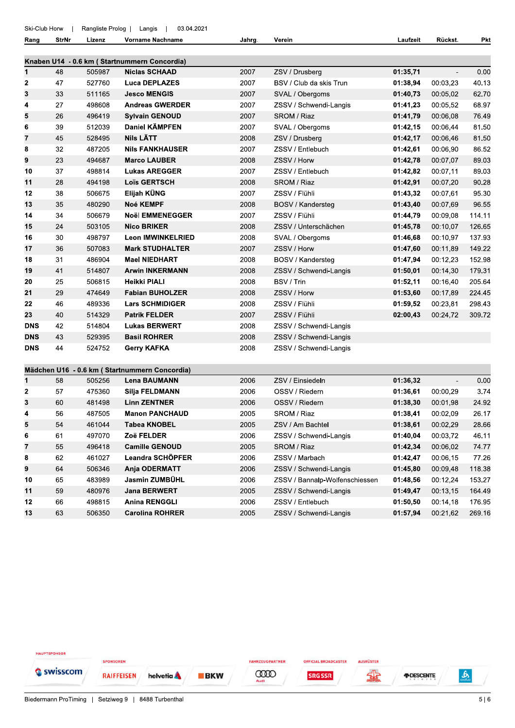| Ski-Club Horw |  | Rangliste Prolog   Langis |  |  |  | 03.04.2021 |
|---------------|--|---------------------------|--|--|--|------------|
|---------------|--|---------------------------|--|--|--|------------|

Rang

 $10$  $11$ 

 $12$ 

 $13$ 

66

63

498815

506350

| Rang       | StrNr | Lizenz | <b>Vorname Nachname</b>                       | Jahrg. | Verein                         | Laufzeit | Rückst.                  | <b>Pkt</b> |
|------------|-------|--------|-----------------------------------------------|--------|--------------------------------|----------|--------------------------|------------|
|            |       |        | Knaben U14 - 0.6 km (Startnummern Concordia)  |        |                                |          |                          |            |
| 1          | 48    | 505987 | <b>Niclas SCHAAD</b>                          | 2007   | ZSV / Drusberg                 | 01:35,71 | $\overline{\phantom{a}}$ | 0.00       |
| 2          | 47    | 527760 | <b>Luca DEPLAZES</b>                          | 2007   | BSV / Club da skis Trun        | 01:38,94 | 00:03,23                 | 40.13      |
| 3          | 33    | 511165 | <b>Jesco MENGIS</b>                           | 2007   | SVAL / Obergoms                | 01:40,73 | 00:05,02                 | 62.70      |
| 4          | 27    | 498608 | <b>Andreas GWERDER</b>                        | 2007   | ZSSV / Schwendi-Langis         | 01:41,23 | 00:05,52                 | 68.97      |
| 5          | 26    | 496419 | <b>Sylvain GENOUD</b>                         | 2007   | SROM / Riaz                    | 01:41,79 | 00:06,08                 | 76.49      |
| 6          | 39    | 512039 | Daniel KÄMPFEN                                | 2007   | SVAL / Obergoms                | 01:42,15 | 00:06,44                 | 81.50      |
| 7          | 45    | 528495 | <b>Nils LÄTT</b>                              | 2008   | ZSV / Drusberg                 | 01:42,17 | 00:06,46                 | 81.50      |
| 8          | 32    | 487205 | <b>Nils FANKHAUSER</b>                        | 2007   | ZSSV / Entlebuch               | 01:42,61 | 00:06,90                 | 86.52      |
| 9          | 23    | 494687 | <b>Marco LAUBER</b>                           | 2008   | ZSSV / Horw                    | 01:42,78 | 00:07,07                 | 89.03      |
| 10         | 37    | 498814 | <b>Lukas AREGGER</b>                          | 2007   | ZSSV / Entlebuch               | 01:42,82 | 00:07,11                 | 89.03      |
| 11         | 28    | 494198 | <b>Loïs GERTSCH</b>                           | 2008   | SROM / Riaz                    | 01:42,91 | 00:07,20                 | 90.28      |
| 12         | 38    | 506675 | Elijah KÜNG                                   | 2007   | ZSSV / Flühli                  | 01:43,32 | 00:07,61                 | 95.30      |
| 13         | 35    | 480290 | <b>Noé KEMPF</b>                              | 2008   | BOSV / Kandersteg              | 01:43,40 | 00:07,69                 | 96.55      |
| 14         | 34    | 506679 | <b>Noël EMMENEGGER</b>                        | 2007   | ZSSV / Flühli                  | 01:44,79 | 00:09,08                 | 114.11     |
| 15         | 24    | 503105 | <b>Nico BRIKER</b>                            | 2008   | ZSSV / Unterschächen           | 01:45,78 | 00:10,07                 | 126.65     |
| 16         | 30    | 498797 | <b>Leon IMWINKELRIED</b>                      | 2008   | SVAL / Obergoms                | 01:46,68 | 00:10.97                 | 137.93     |
| 17         | 36    | 507083 | <b>Mark STUDHALTER</b>                        | 2007   | ZSSV / Horw                    | 01:47,60 | 00:11,89                 | 149.22     |
| 18         | 31    | 486904 | <b>Mael NIEDHART</b>                          | 2008   | BOSV / Kandersteg              | 01:47,94 | 00:12,23                 | 152.98     |
| 19         | 41    | 514807 | <b>Arwin INKERMANN</b>                        | 2008   | ZSSV / Schwendi-Langis         | 01:50,01 | 00:14,30                 | 179.31     |
| 20         | 25    | 506815 | Heikki PIALI                                  | 2008   | BSV / Trin                     | 01:52,11 | 00:16,40                 | 205.64     |
| 21         | 29    | 474649 | <b>Fabian BUHOLZER</b>                        | 2008   | ZSSV / Horw                    | 01:53,60 | 00:17,89                 | 224.45     |
| 22         | 46    | 489336 | <b>Lars SCHMIDIGER</b>                        | 2008   | ZSSV / Flühli                  | 01:59,52 | 00:23,81                 | 298.43     |
| 23         | 40    | 514329 | <b>Patrik FELDER</b>                          | 2007   | ZSSV / Flühli                  | 02:00,43 | 00:24,72                 | 309.72     |
| <b>DNS</b> | 42    | 514804 | <b>Lukas BERWERT</b>                          | 2008   | ZSSV / Schwendi-Langis         |          |                          |            |
| <b>DNS</b> | 43    | 529395 | <b>Basil ROHRER</b>                           | 2008   | ZSSV / Schwendi-Langis         |          |                          |            |
| <b>DNS</b> | 44    | 524752 | <b>Gerry KAFKA</b>                            | 2008   | ZSSV / Schwendi-Langis         |          |                          |            |
|            |       |        |                                               |        |                                |          |                          |            |
|            |       |        | Mädchen U16 - 0.6 km (Startnummern Concordia) |        |                                |          |                          |            |
| 1          | 58    | 505256 | <b>Lena BAUMANN</b>                           | 2006   | ZSV / Einsiedeln               | 01:36,32 | $\overline{\phantom{a}}$ | 0.00       |
| 2          | 57    | 475360 | Silja FELDMANN                                | 2006   | OSSV / Riedern                 | 01:36,61 | 00:00,29                 | 3.74       |
| 3          | 60    | 481498 | <b>Linn ZENTNER</b>                           | 2006   | OSSV / Riedern                 | 01:38,30 | 00:01,98                 | 24.92      |
| 4          | 56    | 487505 | <b>Manon PANCHAUD</b>                         | 2005   | SROM / Riaz                    | 01:38,41 | 00:02,09                 | 26.17      |
| 5          | 54    | 461044 | <b>Tabea KNOBEL</b>                           | 2005   | ZSV / Am Bachtel               | 01:38,61 | 00:02,29                 | 28.66      |
| 6          | 61    | 497070 | Zoë FELDER                                    | 2006   | ZSSV / Schwendi-Langis         | 01:40,04 | 00:03,72                 | 46.11      |
| 7          | 55    | 496418 | <b>Camille GENOUD</b>                         | 2005   | SROM / Riaz                    | 01:42,34 | 00:06,02                 | 74.77      |
| 8          | 62    | 461027 | Leandra SCHÖPFER                              | 2006   | ZSSV / Marbach                 | 01:42,47 | 00:06,15                 | 77.26      |
| 9          | 64    | 506346 | Anja ODERMATT                                 | 2006   | ZSSV / Schwendi-Langis         | 01:45,80 | 00:09,48                 | 118.38     |
| 10         | 65    | 483989 | Jasmin ZUMBÜHL                                | 2006   | ZSSV / Bannalp-Wolfenschiessen | 01:48,56 | 00:12,24                 | 153.27     |
| 11         | 59    | 480976 | <b>Jana BERWERT</b>                           | 2005   | ZSSV / Schwendi-Langis         | 01:49.47 | 00:13.15                 | 164.49     |



2006

2005

ZSSV / Entlebuch

ZSSV / Schwendi-Langis

 $01:50,50$ 

01:57,94

00:14,18

00:21,62

176.95

269.16

**Anina RENGGLI** 

**Carolina ROHRER**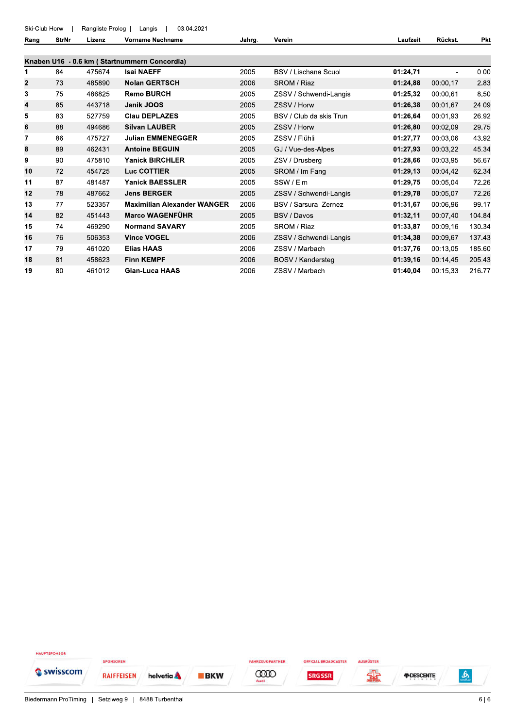Ski-Club Horw Rangliste Prolog | Langis 03.04.2021  $\overline{\phantom{a}}$  $\blacksquare$ 

Pkt **StrNr** Vorname Nachname Laufzeit Rückst. Rang Lizenz Jahrg. Verein Knaben U16 - 0.6 km (Startnummern Concordia)  $\overline{1}$ **Isai NAEFF**  $0.00$ 475674 2005 **BSV / Lischana Scuol** 01:24,71 84  $\overline{2}$ 73 485890 **Nolan GERTSCH** 2006 SROM / Riaz 01:24,88 00:00.17 2.83  $\overline{\mathbf{3}}$ 75 486825 **Remo BURCH** 2005 ZSSV / Schwendi-Langis 01:25,32 00:00,61 8.50  $\overline{\mathbf{4}}$ 85 443718 Janik JOOS 2005 01:26,38 00:01,67 24.09 ZSSV / Horw 5 83 527759 **Clau DEPLAZES** 2005 BSV / Club da skis Trun 01:26,64 00:01,93 26.92  $6\phantom{a}$ 88 494686 **Silvan LAUBER** 2005 ZSSV / Horw 01:26,80 00:02,09 29.75  $\overline{7}$ 86 475727 **Julian EMMENEGGER** 2005 ZSSV / Flühli 01:27,77 00:03,06 43.92 8 **Antoine BEGUIN** 00:03,22 89 462431 2005 GJ / Vue-des-Alpes 01:27,93 45.34  $\mathbf{9}$ 475810 **Yanick BIRCHLER** 2005 ZSV / Drusberg 00:03,95 56.67 90 01:28,66  $10$ 72 454725 **Luc COTTIER** 2005 SROM / Im Fang 00:04,42 62.34 01:29,13  $11$ 87 481487 **Yanick BAESSLER** 2005 SSW / Elm 01:29,75 00:05,04 72.26  $12$ 78 487662 **Jens BERGER** 2005 72.26 ZSSV / Schwendi-Langis 01:29,78 00:05,07  $13$  $77$ 523357 **Maximilian Alexander WANGER** 2006 BSV / Sarsura Zernez 01:31,67 00:06.96 99.17 **Marco WAGENFÜHR**  $14$ 82 451443 2005 BSV / Davos 01:32,11 00:07,40 104.84 15 74 469290 **Normand SAVARY** 2005 SROM / Riaz 01:33,87 00:09.16 130.34 16 76 506353 **Vince VOGEL** 2006 ZSSV / Schwendi-Langis 01:34,38 00:09,67 137.43  $17$ 79 461020 **Elias HAAS** 2006 ZSSV / Marbach 01:37,76 00:13,05 185.60 18 81 458623 **Finn KEMPF** 2006 BOSV / Kandersteg 01:39,16 00:14,45 205.43 19 80 461012 **Gian-Luca HAAS** 2006 ZSSV / Marbach 01:40,04 00:15,33 216.77

HAUPTSPONSOR SPONSOREN FAHRZEUGPARTNER OFFICIAL BROADCASTER **AUSRÜSTER** Swisscom **COOD** 靐 *FIDESCENTE* <u>ه</u> **RAIFFEISEN** helvetia A **BKW SRG SSR**